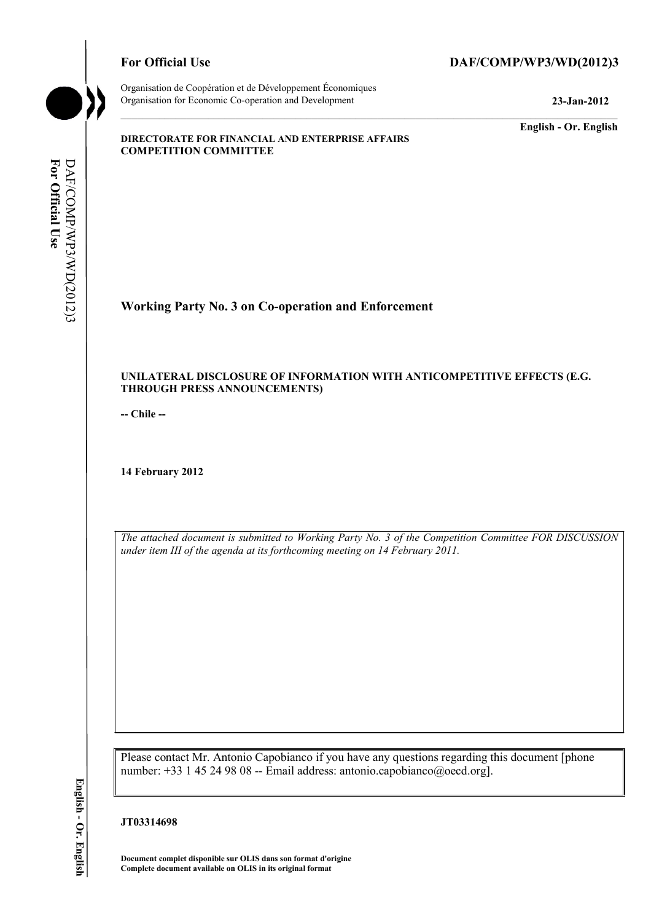# For Official Use DAF/COMP/WP3/WD(2012)3



**For Official Use** 

For Official Use

DAF/COMP/WP3/WD(2012)3

DAF/COMP/WP3/WD(2012)3

Organisation de Coopération et de Développement Économiques Organisation for Economic Co-operation and Development **23-Jan-2012** 

**English - Or. English** 

#### **DIRECTORATE FOR FINANCIAL AND ENTERPRISE AFFAIRS COMPETITION COMMITTEE**

# **Working Party No. 3 on Co-operation and Enforcement**

#### **UNILATERAL DISCLOSURE OF INFORMATION WITH ANTICOMPETITIVE EFFECTS (E.G. THROUGH PRESS ANNOUNCEMENTS)**

**-- Chile --** 

**14 February 2012** 

*The attached document is submitted to Working Party No. 3 of the Competition Committee FOR DISCUSSION under item III of the agenda at its forthcoming meeting on 14 February 2011.* 

Please contact Mr. Antonio Capobianco if you have any questions regarding this document [phone number: +33 1 45 24 98 08 -- Email address: antonio.capobianco@oecd.org].

#### **JT03314698**

**Document complet disponible sur OLIS dans son format d'origine Complete document available on OLIS in its original format** 

English - Or. English **English - Or. English**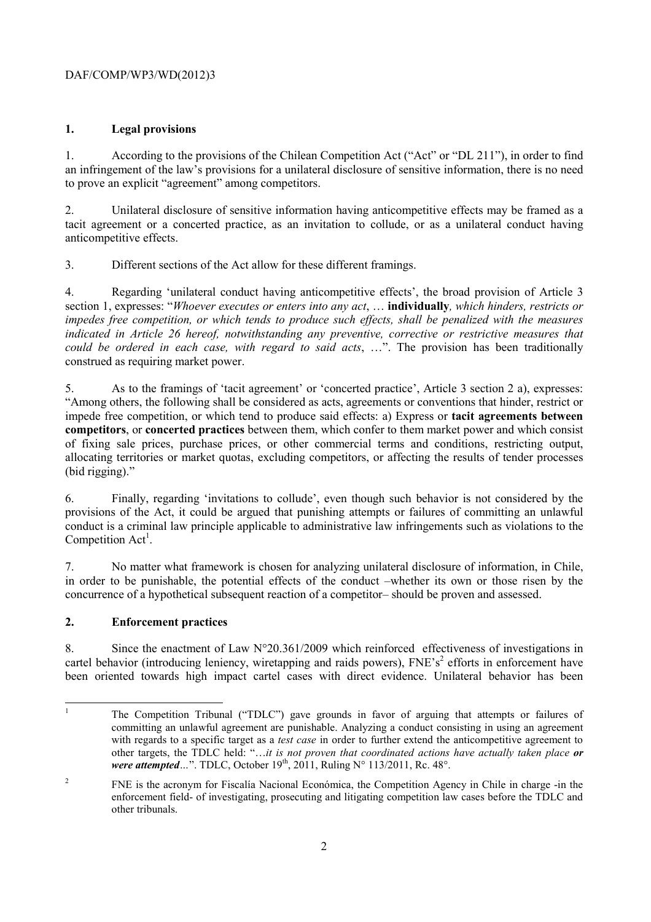# DAF/COMP/WP3/WD(2012)3

#### **1. Legal provisions**

1. According to the provisions of the Chilean Competition Act ("Act" or "DL 211"), in order to find an infringement of the law's provisions for a unilateral disclosure of sensitive information, there is no need to prove an explicit "agreement" among competitors.

2. Unilateral disclosure of sensitive information having anticompetitive effects may be framed as a tacit agreement or a concerted practice, as an invitation to collude, or as a unilateral conduct having anticompetitive effects.

3. Different sections of the Act allow for these different framings.

4. Regarding 'unilateral conduct having anticompetitive effects', the broad provision of Article 3 section 1, expresses: "*Whoever executes or enters into any act*, … **individually***, which hinders, restricts or impedes free competition, or which tends to produce such effects, shall be penalized with the measures indicated in Article 26 hereof, notwithstanding any preventive, corrective or restrictive measures that could be ordered in each case, with regard to said acts*, …". The provision has been traditionally construed as requiring market power.

5. As to the framings of 'tacit agreement' or 'concerted practice', Article 3 section 2 a), expresses: "Among others, the following shall be considered as acts, agreements or conventions that hinder, restrict or impede free competition, or which tend to produce said effects: a) Express or **tacit agreements between competitors**, or **concerted practices** between them, which confer to them market power and which consist of fixing sale prices, purchase prices, or other commercial terms and conditions, restricting output, allocating territories or market quotas, excluding competitors, or affecting the results of tender processes (bid rigging)."

6. Finally, regarding 'invitations to collude', even though such behavior is not considered by the provisions of the Act, it could be argued that punishing attempts or failures of committing an unlawful conduct is a criminal law principle applicable to administrative law infringements such as violations to the Competition  $Act<sup>1</sup>$ .

7. No matter what framework is chosen for analyzing unilateral disclosure of information, in Chile, in order to be punishable, the potential effects of the conduct –whether its own or those risen by the concurrence of a hypothetical subsequent reaction of a competitor– should be proven and assessed.

# **2. Enforcement practices**

8. Since the enactment of Law  $N^{\circ}20.361/2009$  which reinforced effectiveness of investigations in cartel behavior (introducing leniency, wiretapping and raids powers),  $FNE's<sup>2</sup>$  efforts in enforcement have been oriented towards high impact cartel cases with direct evidence. Unilateral behavior has been

<sup>|&</sup>lt;br>|<br>| The Competition Tribunal ("TDLC") gave grounds in favor of arguing that attempts or failures of committing an unlawful agreement are punishable. Analyzing a conduct consisting in using an agreement with regards to a specific target as a *test case* in order to further extend the anticompetitive agreement to other targets, the TDLC held: "…*it is not proven that coordinated actions have actually taken place or were attempted...*". TDLC, October 19<sup>th</sup>, 2011, Ruling N° 113/2011, Rc. 48°.

<sup>2</sup> FNE is the acronym for Fiscalía Nacional Económica, the Competition Agency in Chile in charge -in the enforcement field- of investigating, prosecuting and litigating competition law cases before the TDLC and other tribunals.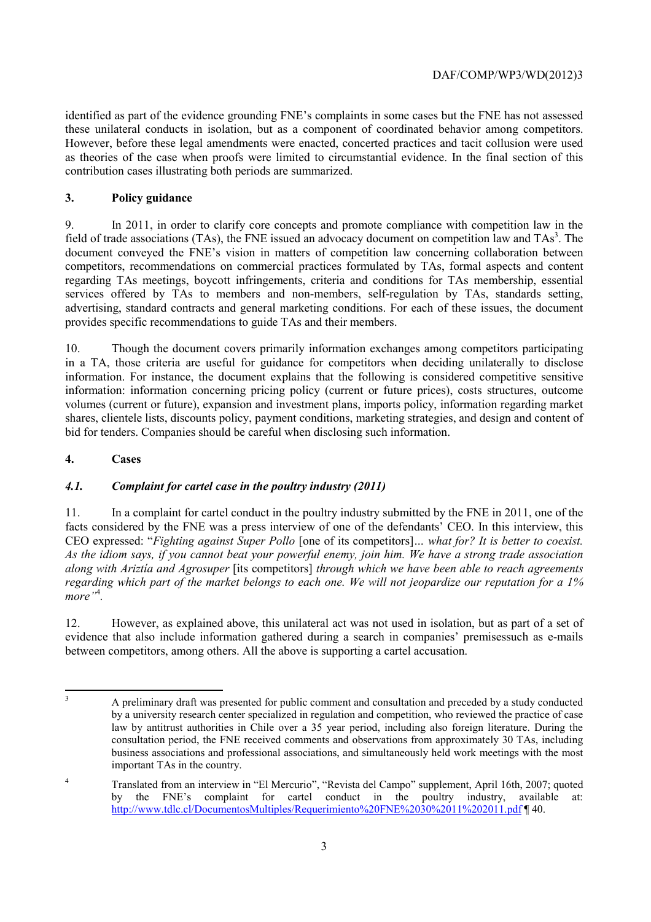identified as part of the evidence grounding FNE's complaints in some cases but the FNE has not assessed these unilateral conducts in isolation, but as a component of coordinated behavior among competitors. However, before these legal amendments were enacted, concerted practices and tacit collusion were used as theories of the case when proofs were limited to circumstantial evidence. In the final section of this contribution cases illustrating both periods are summarized.

# **3. Policy guidance**

9. In 2011, in order to clarify core concepts and promote compliance with competition law in the field of trade associations (TAs), the FNE issued an advocacy document on competition law and  $TAs<sup>3</sup>$ . The document conveyed the FNE's vision in matters of competition law concerning collaboration between competitors, recommendations on commercial practices formulated by TAs, formal aspects and content regarding TAs meetings, boycott infringements, criteria and conditions for TAs membership, essential services offered by TAs to members and non-members, self-regulation by TAs, standards setting, advertising, standard contracts and general marketing conditions. For each of these issues, the document provides specific recommendations to guide TAs and their members.

10. Though the document covers primarily information exchanges among competitors participating in a TA, those criteria are useful for guidance for competitors when deciding unilaterally to disclose information. For instance, the document explains that the following is considered competitive sensitive information: information concerning pricing policy (current or future prices), costs structures, outcome volumes (current or future), expansion and investment plans, imports policy, information regarding market shares, clientele lists, discounts policy, payment conditions, marketing strategies, and design and content of bid for tenders. Companies should be careful when disclosing such information.

#### **4. Cases**

# *4.1. Complaint for cartel case in the poultry industry (2011)*

11. In a complaint for cartel conduct in the poultry industry submitted by the FNE in 2011, one of the facts considered by the FNE was a press interview of one of the defendants' CEO. In this interview, this CEO expressed: "*Fighting against Super Pollo* [one of its competitors]*… what for? It is better to coexist. As the idiom says, if you cannot beat your powerful enemy, join him. We have a strong trade association along with Ariztía and Agrosuper* [its competitors] *through which we have been able to reach agreements regarding which part of the market belongs to each one. We will not jeopardize our reputation for a 1% more"*<sup>4</sup> *.*

12. However, as explained above, this unilateral act was not used in isolation, but as part of a set of evidence that also include information gathered during a search in companies' premisessuch as e-mails between competitors, among others. All the above is supporting a cartel accusation.

 $\overline{\mathbf{3}}$ 3 A preliminary draft was presented for public comment and consultation and preceded by a study conducted by a university research center specialized in regulation and competition, who reviewed the practice of case law by antitrust authorities in Chile over a 35 year period, including also foreign literature. During the consultation period, the FNE received comments and observations from approximately 30 TAs, including business associations and professional associations, and simultaneously held work meetings with the most important TAs in the country.

<sup>&</sup>lt;sup>4</sup> Translated from an interview in "El Mercurio", "Revista del Campo" supplement, April 16th, 2007; quoted by the FNE's complaint for cartel conduct in the poultry industry, available at: http://www.tdlc.cl/DocumentosMultiples/Requerimiento%20FNE%2030%2011%202011.pdf ¶ 40.